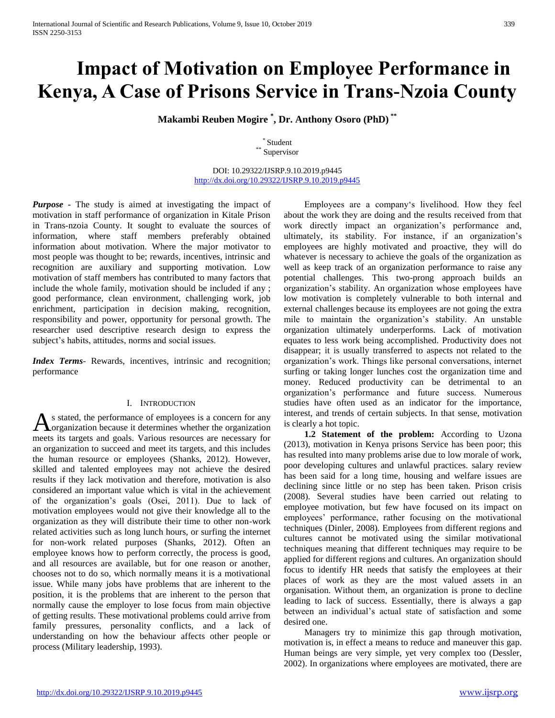# **Impact of Motivation on Employee Performance in Kenya, A Case of Prisons Service in Trans-Nzoia County**

**Makambi Reuben Mogire \* , Dr. Anthony Osoro (PhD) \*\***

\* Student \*\* Supervisor

DOI: 10.29322/IJSRP.9.10.2019.p9445 <http://dx.doi.org/10.29322/IJSRP.9.10.2019.p9445>

*Purpose* **-** The study is aimed at investigating the impact of motivation in staff performance of organization in Kitale Prison in Trans-nzoia County. It sought to evaluate the sources of information, where staff members preferably obtained information about motivation. Where the major motivator to most people was thought to be; rewards, incentives, intrinsic and recognition are auxiliary and supporting motivation. Low motivation of staff members has contributed to many factors that include the whole family, motivation should be included if any ; good performance, clean environment, challenging work, job enrichment, participation in decision making, recognition, responsibility and power, opportunity for personal growth. The researcher used descriptive research design to express the subject's habits, attitudes, norms and social issues.

*Index Terms*- Rewards, incentives, intrinsic and recognition; performance

## I. INTRODUCTION

s stated, the performance of employees is a concern for any organization because it determines whether the organization As stated, the performance of employees is a concern for any organization because it determines whether the organization meets its targets and goals. Various resources are necessary for an organization to succeed and meet its targets, and this includes the human resource or employees (Shanks, 2012). However, skilled and talented employees may not achieve the desired results if they lack motivation and therefore, motivation is also considered an important value which is vital in the achievement of the organization's goals (Osei, 2011). Due to lack of motivation employees would not give their knowledge all to the organization as they will distribute their time to other non-work related activities such as long lunch hours, or surfing the internet for non-work related purposes (Shanks, 2012). Often an employee knows how to perform correctly, the process is good, and all resources are available, but for one reason or another, chooses not to do so, which normally means it is a motivational issue. While many jobs have problems that are inherent to the position, it is the problems that are inherent to the person that normally cause the employer to lose focus from main objective of getting results. These motivational problems could arrive from family pressures, personality conflicts, and a lack of understanding on how the behaviour affects other people or process (Military leadership, 1993).

 Employees are a company's livelihood. How they feel about the work they are doing and the results received from that work directly impact an organization's performance and, ultimately, its stability. For instance, if an organization's employees are highly motivated and proactive, they will do whatever is necessary to achieve the goals of the organization as well as keep track of an organization performance to raise any potential challenges. This two-prong approach builds an organization's stability. An organization whose employees have low motivation is completely vulnerable to both internal and external challenges because its employees are not going the extra mile to maintain the organization's stability. An unstable organization ultimately underperforms. Lack of motivation equates to less work being accomplished. Productivity does not disappear; it is usually transferred to aspects not related to the organization's work. Things like personal conversations, internet surfing or taking longer lunches cost the organization time and money. Reduced productivity can be detrimental to an organization's performance and future success. Numerous studies have often used as an indicator for the importance, interest, and trends of certain subjects. In that sense, motivation is clearly a hot topic.

 **1.2 Statement of the problem:** According to Uzona (2013), motivation in Kenya prisons Service has been poor; this has resulted into many problems arise due to low morale of work, poor developing cultures and unlawful practices. salary review has been said for a long time, housing and welfare issues are declining since little or no step has been taken. Prison crisis (2008). Several studies have been carried out relating to employee motivation, but few have focused on its impact on employees' performance, rather focusing on the motivational techniques (Dinler, 2008). Employees from different regions and cultures cannot be motivated using the similar motivational techniques meaning that different techniques may require to be applied for different regions and cultures. An organization should focus to identify HR needs that satisfy the employees at their places of work as they are the most valued assets in an organisation. Without them, an organization is prone to decline leading to lack of success. Essentially, there is always a gap between an individual's actual state of satisfaction and some desired one.

 Managers try to minimize this gap through motivation, motivation is, in effect a means to reduce and maneuver this gap. Human beings are very simple, yet very complex too (Dessler, 2002). In organizations where employees are motivated, there are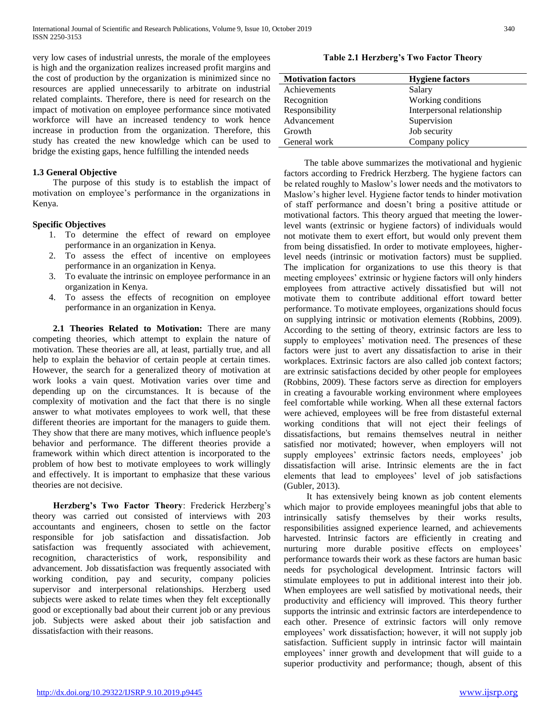very low cases of industrial unrests, the morale of the employees is high and the organization realizes increased profit margins and the cost of production by the organization is minimized since no resources are applied unnecessarily to arbitrate on industrial related complaints. Therefore, there is need for research on the impact of motivation on employee performance since motivated workforce will have an increased tendency to work hence increase in production from the organization. Therefore, this study has created the new knowledge which can be used to bridge the existing gaps, hence fulfilling the intended needs

# **1.3 General Objective**

 The purpose of this study is to establish the impact of motivation on employee's performance in the organizations in Kenya.

## **Specific Objectives**

- 1. To determine the effect of reward on employee performance in an organization in Kenya.
- 2. To assess the effect of incentive on employees performance in an organization in Kenya.
- 3. To evaluate the intrinsic on employee performance in an organization in Kenya.
- 4. To assess the effects of recognition on employee performance in an organization in Kenya.

 **2.1 Theories Related to Motivation:** There are many competing theories, which attempt to explain the nature of motivation. These theories are all, at least, partially true, and all help to explain the behavior of certain people at certain times. However, the search for a generalized theory of motivation at work looks a vain quest. Motivation varies over time and depending up on the circumstances. It is because of the complexity of motivation and the fact that there is no single answer to what motivates employees to work well, that these different theories are important for the managers to guide them. They show that there are many motives, which influence people's behavior and performance. The different theories provide a framework within which direct attention is incorporated to the problem of how best to motivate employees to work willingly and effectively. It is important to emphasize that these various theories are not decisive.

 **Herzberg's Two Factor Theory**: Frederick Herzberg's theory was carried out consisted of interviews with 203 accountants and engineers, chosen to settle on the factor responsible for job satisfaction and dissatisfaction. Job satisfaction was frequently associated with achievement, recognition, characteristics of work, responsibility and advancement. Job dissatisfaction was frequently associated with working condition, pay and security, company policies supervisor and interpersonal relationships. Herzberg used subjects were asked to relate times when they felt exceptionally good or exceptionally bad about their current job or any previous job. Subjects were asked about their job satisfaction and dissatisfaction with their reasons.

**Table 2.1 Herzberg's Two Factor Theory**

| <b>Motivation factors</b> | <b>Hygiene factors</b>     |
|---------------------------|----------------------------|
| Achievements              | Salary                     |
| Recognition               | Working conditions         |
| Responsibility            | Interpersonal relationship |
| Advancement               | Supervision                |
| Growth                    | Job security               |
| General work              | Company policy             |

 The table above summarizes the motivational and hygienic factors according to Fredrick Herzberg. The hygiene factors can be related roughly to Maslow's lower needs and the motivators to Maslow's higher level. Hygiene factor tends to hinder motivation of staff performance and doesn't bring a positive attitude or motivational factors. This theory argued that meeting the lowerlevel wants (extrinsic or hygiene factors) of individuals would not motivate them to exert effort, but would only prevent them from being dissatisfied. In order to motivate employees, higherlevel needs (intrinsic or motivation factors) must be supplied. The implication for organizations to use this theory is that meeting employees' extrinsic or hygiene factors will only hinders employees from attractive actively dissatisfied but will not motivate them to contribute additional effort toward better performance. To motivate employees, organizations should focus on supplying intrinsic or motivation elements (Robbins, 2009). According to the setting of theory, extrinsic factors are less to supply to employees' motivation need. The presences of these factors were just to avert any dissatisfaction to arise in their workplaces. Extrinsic factors are also called job context factors; are extrinsic satisfactions decided by other people for employees (Robbins, 2009). These factors serve as direction for employers in creating a favourable working environment where employees feel comfortable while working. When all these external factors were achieved, employees will be free from distasteful external working conditions that will not eject their feelings of dissatisfactions, but remains themselves neutral in neither satisfied nor motivated; however, when employers will not supply employees' extrinsic factors needs, employees' job dissatisfaction will arise. Intrinsic elements are the in fact elements that lead to employees' level of job satisfactions (Gubler, 2013).

 It has extensively being known as job content elements which major to provide employees meaningful jobs that able to intrinsically satisfy themselves by their works results, responsibilities assigned experience learned, and achievements harvested. Intrinsic factors are efficiently in creating and nurturing more durable positive effects on employees' performance towards their work as these factors are human basic needs for psychological development. Intrinsic factors will stimulate employees to put in additional interest into their job. When employees are well satisfied by motivational needs, their productivity and efficiency will improved. This theory further supports the intrinsic and extrinsic factors are interdependence to each other. Presence of extrinsic factors will only remove employees' work dissatisfaction; however, it will not supply job satisfaction. Sufficient supply in intrinsic factor will maintain employees' inner growth and development that will guide to a superior productivity and performance; though, absent of this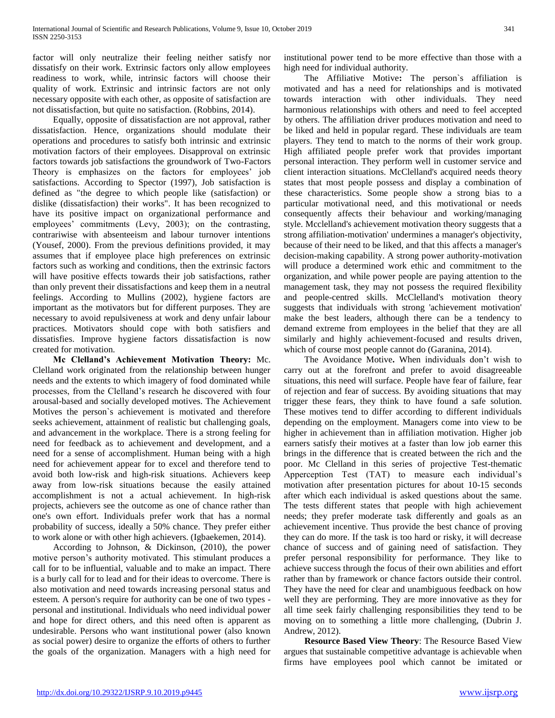factor will only neutralize their feeling neither satisfy nor dissatisfy on their work. Extrinsic factors only allow employees readiness to work, while, intrinsic factors will choose their quality of work. Extrinsic and intrinsic factors are not only necessary opposite with each other, as opposite of satisfaction are not dissatisfaction, but quite no satisfaction. (Robbins, 2014).

 Equally, opposite of dissatisfaction are not approval, rather dissatisfaction. Hence, organizations should modulate their operations and procedures to satisfy both intrinsic and extrinsic motivation factors of their employees. Disapproval on extrinsic factors towards job satisfactions the groundwork of Two-Factors Theory is emphasizes on the factors for employees' job satisfactions. According to Spector (1997), Job satisfaction is defined as "the degree to which people like (satisfaction) or dislike (dissatisfaction) their works". It has been recognized to have its positive impact on organizational performance and employees' commitments (Levy, 2003); on the contrasting, contrariwise with absenteeism and labour turnover intentions (Yousef, 2000). From the previous definitions provided, it may assumes that if employee place high preferences on extrinsic factors such as working and conditions, then the extrinsic factors will have positive effects towards their job satisfactions, rather than only prevent their dissatisfactions and keep them in a neutral feelings. According to Mullins (2002), hygiene factors are important as the motivators but for different purposes. They are necessary to avoid repulsiveness at work and deny unfair labour practices. Motivators should cope with both satisfiers and dissatisfies. Improve hygiene factors dissatisfaction is now created for motivation.

 **Mc Clelland's Achievement Motivation Theory:** Mc. Clelland work originated from the relationship between hunger needs and the extents to which imagery of food dominated while processes, from the Clelland's research he discovered with four arousal-based and socially developed motives. The Achievement Motives the person`s achievement is motivated and therefore seeks achievement, attainment of realistic but challenging goals, and advancement in the workplace. There is a strong feeling for need for feedback as to achievement and development, and a need for a sense of accomplishment. Human being with a high need for achievement appear for to excel and therefore tend to avoid both low-risk and high-risk situations. Achievers keep away from low-risk situations because the easily attained accomplishment is not a actual achievement. In high-risk projects, achievers see the outcome as one of chance rather than one's own effort. Individuals prefer work that has a normal probability of success, ideally a 50% chance. They prefer either to work alone or with other high achievers. (Igbaekemen, 2014).

 According to Johnson, & Dickinson, (2010), the power motive person's authority motivated. This stimulant produces a call for to be influential, valuable and to make an impact. There is a burly call for to lead and for their ideas to overcome. There is also motivation and need towards increasing personal status and esteem. A person's require for authority can be one of two types personal and institutional. Individuals who need individual power and hope for direct others, and this need often is apparent as undesirable. Persons who want institutional power (also known as social power) desire to organize the efforts of others to further the goals of the organization. Managers with a high need for

institutional power tend to be more effective than those with a high need for individual authority.

 The Affiliative Motive**:** The person`s affiliation is motivated and has a need for relationships and is motivated towards interaction with other individuals. They need harmonious relationships with others and need to feel accepted by others. The affiliation driver produces motivation and need to be liked and held in popular regard. These individuals are team players. They tend to match to the norms of their work group. High affiliated people prefer work that provides important personal interaction. They perform well in customer service and client interaction situations. McClelland's acquired needs theory states that most people possess and display a combination of these characteristics. Some people show a strong bias to a particular motivational need, and this motivational or needs consequently affects their behaviour and working/managing style. Mcclelland's achievement motivation theory suggests that a strong affiliation-motivation' undermines a manager's objectivity, because of their need to be liked, and that this affects a manager's decision-making capability. A strong power authority-motivation will produce a determined work ethic and commitment to the organization, and while power people are paying attention to the management task, they may not possess the required flexibility and people-centred skills. McClelland's motivation theory suggests that individuals with strong 'achievement motivation' make the best leaders, although there can be a tendency to demand extreme from employees in the belief that they are all similarly and highly achievement-focused and results driven, which of course most people cannot do (Garanina, 2014).

 The Avoidance Motive**.** When individuals don't wish to carry out at the forefront and prefer to avoid disagreeable situations, this need will surface. People have fear of failure, fear of rejection and fear of success. By avoiding situations that may trigger these fears, they think to have found a safe solution. These motives tend to differ according to different individuals depending on the employment. Managers come into view to be higher in achievement than in affiliation motivation. Higher job earners satisfy their motives at a faster than low job earner this brings in the difference that is created between the rich and the poor. Mc Clelland in this series of projective Test-thematic Apperception Test (TAT) to measure each individual's motivation after presentation pictures for about 10-15 seconds after which each individual is asked questions about the same. The tests different states that people with high achievement needs; they prefer moderate task differently and goals as an achievement incentive. Thus provide the best chance of proving they can do more. If the task is too hard or risky, it will decrease chance of success and of gaining need of satisfaction. They prefer personal responsibility for performance. They like to achieve success through the focus of their own abilities and effort rather than by framework or chance factors outside their control. They have the need for clear and unambiguous feedback on how well they are performing. They are more innovative as they for all time seek fairly challenging responsibilities they tend to be moving on to something a little more challenging, (Dubrin J. Andrew, 2012).

 **Resource Based View Theory**: The Resource Based View argues that sustainable competitive advantage is achievable when firms have employees pool which cannot be imitated or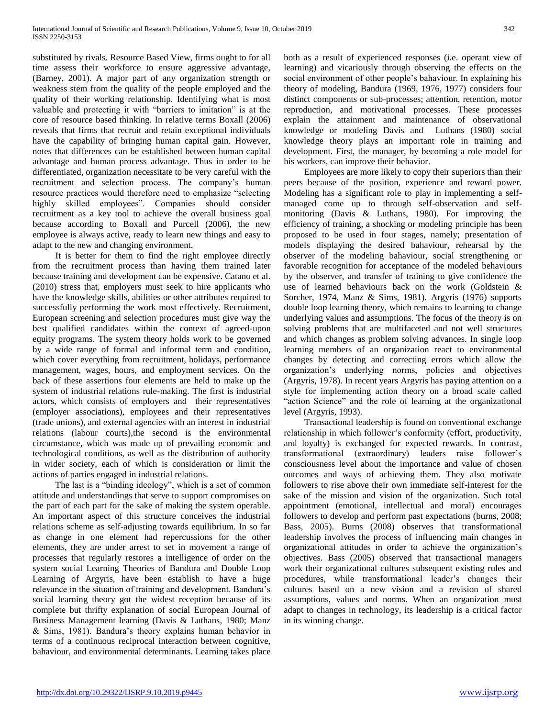substituted by rivals. Resource Based View, firms ought to for all time assess their workforce to ensure aggressive advantage, (Barney, 2001). A major part of any organization strength or weakness stem from the quality of the people employed and the quality of their working relationship. Identifying what is most valuable and protecting it with "barriers to imitation" is at the core of resource based thinking. In relative terms Boxall (2006) reveals that firms that recruit and retain exceptional individuals have the capability of bringing human capital gain. However, notes that differences can be established between human capital advantage and human process advantage. Thus in order to be differentiated, organization necessitate to be very careful with the recruitment and selection process. The company's human resource practices would therefore need to emphasize "selecting highly skilled employees". Companies should consider recruitment as a key tool to achieve the overall business goal because according to Boxall and Purcell (2006), the new employee is always active, ready to learn new things and easy to adapt to the new and changing environment.

 It is better for them to find the right employee directly from the recruitment process than having them trained later because training and development can be expensive. Catano et al. (2010) stress that, employers must seek to hire applicants who have the knowledge skills, abilities or other attributes required to successfully performing the work most effectively. Recruitment, European screening and selection procedures must give way the best qualified candidates within the context of agreed-upon equity programs. The system theory holds work to be governed by a wide range of formal and informal term and condition, which cover everything from recruitment, holidays, performance management, wages, hours, and employment services. On the back of these assertions four elements are held to make up the system of industrial relations rule-making. The first is industrial actors, which consists of employers and their representatives (employer associations), employees and their representatives (trade unions), and external agencies with an interest in industrial relations (labour courts),the second is the environmental circumstance, which was made up of prevailing economic and technological conditions, as well as the distribution of authority in wider society, each of which is consideration or limit the actions of parties engaged in industrial relations.

 The last is a "binding ideology", which is a set of common attitude and understandings that serve to support compromises on the part of each part for the sake of making the system operable. An important aspect of this structure conceives the industrial relations scheme as self-adjusting towards equilibrium. In so far as change in one element had repercussions for the other elements, they are under arrest to set in movement a range of processes that regularly restores a intelligence of order on the system social Learning Theories of Bandura and Double Loop Learning of Argyris, have been establish to have a huge relevance in the situation of training and development. Bandura's social learning theory got the widest reception because of its complete but thrifty explanation of social European Journal of Business Management learning (Davis & Luthans, 1980; Manz & Sims, 1981). Bandura's theory explains human behavior in terms of a continuous reciprocal interaction between cognitive, bahaviour, and environmental determinants. Learning takes place both as a result of experienced responses (i.e. operant view of learning) and vicariously through observing the effects on the social environment of other people's bahaviour. In explaining his theory of modeling, Bandura (1969, 1976, 1977) considers four distinct components or sub-processes; attention, retention, motor reproduction, and motivational processes. These processes explain the attainment and maintenance of observational knowledge or modeling Davis and Luthans (1980) social knowledge theory plays an important role in training and development. First, the manager, by becoming a role model for his workers, can improve their behavior.

 Employees are more likely to copy their superiors than their peers because of the position, experience and reward power. Modeling has a significant role to play in implementing a selfmanaged come up to through self-observation and selfmonitoring (Davis & Luthans, 1980). For improving the efficiency of training, a shocking or modeling principle has been proposed to be used in four stages, namely; presentation of models displaying the desired bahaviour, rehearsal by the observer of the modeling bahaviour, social strengthening or favorable recognition for acceptance of the modeled behaviours by the observer, and transfer of training to give confidence the use of learned behaviours back on the work (Goldstein & Sorcher, 1974, Manz & Sims, 1981). Argyris (1976) supports double loop learning theory, which remains to learning to change underlying values and assumptions. The focus of the theory is on solving problems that are multifaceted and not well structures and which changes as problem solving advances. In single loop learning members of an organization react to environmental changes by detecting and correcting errors which allow the organization's underlying norms, policies and objectives (Argyris, 1978). In recent years Argyris has paying attention on a style for implementing action theory on a broad scale called "action Science" and the role of learning at the organizational level (Argyris, 1993).

 Transactional leadership is found on conventional exchange relationship in which follower's conformity (effort, productivity, and loyalty) is exchanged for expected rewards. In contrast, transformational (extraordinary) leaders raise follower's consciousness level about the importance and value of chosen outcomes and ways of achieving them. They also motivate followers to rise above their own immediate self-interest for the sake of the mission and vision of the organization. Such total appointment (emotional, intellectual and moral) encourages followers to develop and perform past expectations (burns, 2008; Bass, 2005). Burns (2008) observes that transformational leadership involves the process of influencing main changes in organizational attitudes in order to achieve the organization's objectives. Bass (2005) observed that transactional managers work their organizational cultures subsequent existing rules and procedures, while transformational leader's changes their cultures based on a new vision and a revision of shared assumptions, values and norms. When an organization must adapt to changes in technology, its leadership is a critical factor in its winning change.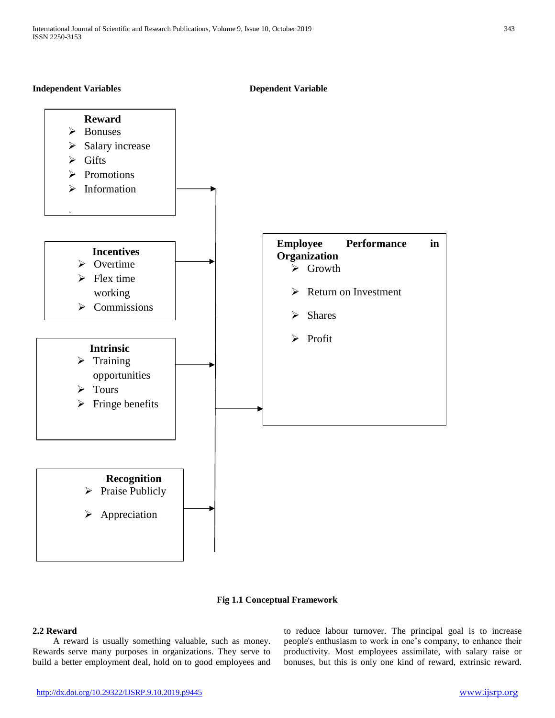## **Independent Variables Dependent Variable**



#### **Fig 1.1 Conceptual Framework**

## **2.2 Reward**

 A reward is usually something valuable, such as money. Rewards serve many purposes in organizations. They serve to build a better employment deal, hold on to good employees and to reduce labour turnover. The principal goal is to increase people's enthusiasm to work in one's company, to enhance their productivity. Most employees assimilate, with salary raise or bonuses, but this is only one kind of reward, extrinsic reward.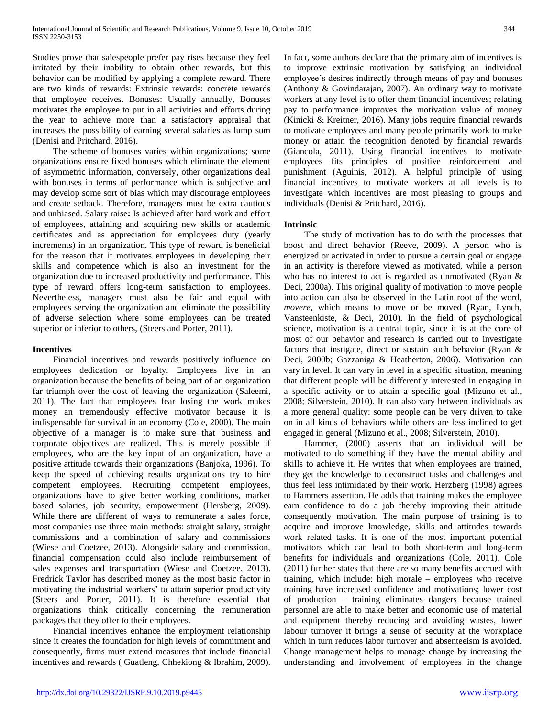Studies prove that salespeople prefer pay rises because they feel irritated by their inability to obtain other rewards, but this behavior can be modified by applying a complete reward. There are two kinds of rewards: Extrinsic rewards: concrete rewards that employee receives. Bonuses: Usually annually, Bonuses motivates the employee to put in all activities and efforts during the year to achieve more than a satisfactory appraisal that increases the possibility of earning several salaries as lump sum (Denisi and Pritchard, 2016).

 The scheme of bonuses varies within organizations; some organizations ensure fixed bonuses which eliminate the element of asymmetric information, conversely, other organizations deal with bonuses in terms of performance which is subjective and may develop some sort of bias which may discourage employees and create setback. Therefore, managers must be extra cautious and unbiased. Salary raise**:** Is achieved after hard work and effort of employees, attaining and acquiring new skills or academic certificates and as appreciation for employees duty (yearly increments) in an organization. This type of reward is beneficial for the reason that it motivates employees in developing their skills and competence which is also an investment for the organization due to increased productivity and performance. This type of reward offers long-term satisfaction to employees. Nevertheless, managers must also be fair and equal with employees serving the organization and eliminate the possibility of adverse selection where some employees can be treated superior or inferior to others, (Steers and Porter, 2011).

## **Incentives**

 Financial incentives and rewards positively influence on employees dedication or loyalty. Employees live in an organization because the benefits of being part of an organization far triumph over the cost of leaving the organization (Saleemi, 2011). The fact that employees fear losing the work makes money an tremendously effective motivator because it is indispensable for survival in an economy (Cole, 2000). The main objective of a manager is to make sure that business and corporate objectives are realized. This is merely possible if employees, who are the key input of an organization, have a positive attitude towards their organizations (Banjoka, 1996). To keep the speed of achieving results organizations try to hire competent employees. Recruiting competent employees, organizations have to give better working conditions, market based salaries, job security, empowerment (Hersberg, 2009). While there are different of ways to remunerate a sales force, most companies use three main methods: straight salary, straight commissions and a combination of salary and commissions (Wiese and Coetzee, 2013). Alongside salary and commission, financial compensation could also include reimbursement of sales expenses and transportation (Wiese and Coetzee, 2013). Fredrick Taylor has described money as the most basic factor in motivating the industrial workers' to attain superior productivity (Steers and Porter, 2011). It is therefore essential that organizations think critically concerning the remuneration packages that they offer to their employees.

 Financial incentives enhance the employment relationship since it creates the foundation for high levels of commitment and consequently, firms must extend measures that include financial incentives and rewards ( Guatleng, Chhekiong & Ibrahim, 2009).

In fact, some authors declare that the primary aim of incentives is to improve extrinsic motivation by satisfying an individual employee's desires indirectly through means of pay and bonuses (Anthony & Govindarajan, 2007). An ordinary way to motivate workers at any level is to offer them financial incentives; relating pay to performance improves the motivation value of money (Kinicki & Kreitner, 2016). Many jobs require financial rewards to motivate employees and many people primarily work to make money or attain the recognition denoted by financial rewards (Giancola, 2011). Using financial incentives to motivate employees fits principles of positive reinforcement and punishment (Aguinis, 2012). A helpful principle of using financial incentives to motivate workers at all levels is to investigate which incentives are most pleasing to groups and individuals (Denisi & Pritchard, 2016).

# **Intrinsic**

 The study of motivation has to do with the processes that boost and direct behavior (Reeve, 2009). A person who is energized or activated in order to pursue a certain goal or engage in an activity is therefore viewed as motivated, while a person who has no interest to act is regarded as unmotivated (Ryan & Deci, 2000a). This original quality of motivation to move people into action can also be observed in the Latin root of the word, *movere,* which means to move or be moved (Ryan, Lynch, Vansteenkiste, & Deci, 2010). In the field of psychological science, motivation is a central topic, since it is at the core of most of our behavior and research is carried out to investigate factors that instigate, direct or sustain such behavior (Ryan & Deci, 2000b; Gazzaniga & Heatherton, 2006). Motivation can vary in level. It can vary in level in a specific situation, meaning that different people will be differently interested in engaging in a specific activity or to attain a specific goal (Mizuno et al., 2008; Silverstein, 2010). It can also vary between individuals as a more general quality: some people can be very driven to take on in all kinds of behaviors while others are less inclined to get engaged in general (Mizuno et al., 2008; Silverstein, 2010).

 Hammer, (2000) asserts that an individual will be motivated to do something if they have the mental ability and skills to achieve it. He writes that when employees are trained, they get the knowledge to deconstruct tasks and challenges and thus feel less intimidated by their work. Herzberg (1998) agrees to Hammers assertion. He adds that training makes the employee earn confidence to do a job thereby improving their attitude consequently motivation. The main purpose of training is to acquire and improve knowledge, skills and attitudes towards work related tasks. It is one of the most important potential motivators which can lead to both short-term and long-term benefits for individuals and organizations (Cole, 2011). Cole (2011) further states that there are so many benefits accrued with training, which include: high morale – employees who receive training have increased confidence and motivations; lower cost of production – training eliminates dangers because trained personnel are able to make better and economic use of material and equipment thereby reducing and avoiding wastes, lower labour turnover it brings a sense of security at the workplace which in turn reduces labor turnover and absenteeism is avoided. Change management helps to manage change by increasing the understanding and involvement of employees in the change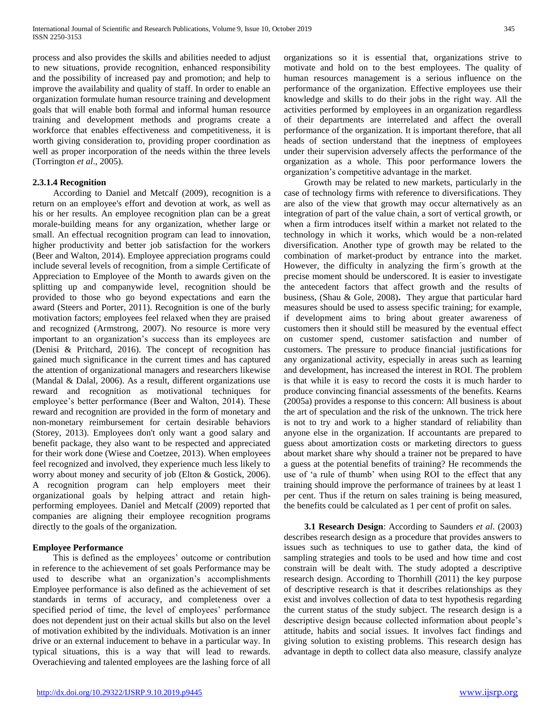process and also provides the skills and abilities needed to adjust to new situations, provide recognition, enhanced responsibility and the possibility of increased pay and promotion; and help to improve the availability and quality of staff. In order to enable an organization formulate human resource training and development goals that will enable both formal and informal human resource training and development methods and programs create a workforce that enables effectiveness and competitiveness, it is worth giving consideration to, providing proper coordination as well as proper incorporation of the needs within the three levels (Torrington *et al*., 2005).

## **2.3.1.4 Recognition**

 According to Daniel and Metcalf (2009), recognition is a return on an employee's effort and devotion at work, as well as his or her results. An employee recognition plan can be a great morale-building means for any organization, whether large or small. An effectual recognition program can lead to innovation, higher productivity and better job satisfaction for the workers (Beer and Walton, 2014). Employee appreciation programs could include several levels of recognition, from a simple Certificate of Appreciation to Employee of the Month to awards given on the splitting up and companywide level, recognition should be provided to those who go beyond expectations and earn the award (Steers and Porter, 2011). Recognition is one of the burly motivation factors; employees feel relaxed when they are praised and recognized (Armstrong, 2007). No resource is more very important to an organization's success than its employees are (Denisi & Pritchard, 2016). The concept of recognition has gained much significance in the current times and has captured the attention of organizational managers and researchers likewise (Mandal & Dalal, 2006). As a result, different organizations use reward and recognition as motivational techniques for employee's better performance (Beer and Walton, 2014). These reward and recognition are provided in the form of monetary and non-monetary reimbursement for certain desirable behaviors (Storey, 2013). Employees don't only want a good salary and benefit package, they also want to be respected and appreciated for their work done (Wiese and Coetzee, 2013). When employees feel recognized and involved, they experience much less likely to worry about money and security of job (Elton & Gostick, 2006). A recognition program can help employers meet their organizational goals by helping attract and retain highperforming employees. Daniel and Metcalf (2009) reported that companies are aligning their employee recognition programs directly to the goals of the organization.

## **Employee Performance**

 This is defined as the employees' outcome or contribution in reference to the achievement of set goals Performance may be used to describe what an organization's accomplishments Employee performance is also defined as the achievement of set standards in terms of accuracy, and completeness over a specified period of time, the level of employees' performance does not dependent just on their actual skills but also on the level of motivation exhibited by the individuals. Motivation is an inner drive or an external inducement to behave in a particular way. In typical situations, this is a way that will lead to rewards. Overachieving and talented employees are the lashing force of all

organizations so it is essential that, organizations strive to motivate and hold on to the best employees. The quality of human resources management is a serious influence on the performance of the organization. Effective employees use their knowledge and skills to do their jobs in the right way. All the activities performed by employees in an organization regardless of their departments are interrelated and affect the overall performance of the organization. It is important therefore, that all heads of section understand that the ineptness of employees under their supervision adversely affects the performance of the organization as a whole. This poor performance lowers the organization's competitive advantage in the market.

 Growth may be related to new markets, particularly in the case of technology firms with reference to diversifications. They are also of the view that growth may occur alternatively as an integration of part of the value chain, a sort of vertical growth, or when a firm introduces itself within a market not related to the technology in which it works, which would be a non-related diversification. Another type of growth may be related to the combination of market-product by entrance into the market. However, the difficulty in analyzing the firm´s growth at the precise moment should be underscored. It is easier to investigate the antecedent factors that affect growth and the results of business, (Shau & Gole, 2008)**.** They argue that particular hard measures should be used to assess specific training; for example, if development aims to bring about greater awareness of customers then it should still be measured by the eventual effect on customer spend, customer satisfaction and number of customers. The pressure to produce financial justifications for any organizational activity, especially in areas such as learning and development, has increased the interest in ROI. The problem is that while it is easy to record the costs it is much harder to produce convincing financial assessments of the benefits. Kearns (2005a) provides a response to this concern: All business is about the art of speculation and the risk of the unknown. The trick here is not to try and work to a higher standard of reliability than anyone else in the organization. If accountants are prepared to guess about amortization costs or marketing directors to guess about market share why should a trainer not be prepared to have a guess at the potential benefits of training? He recommends the use of 'a rule of thumb' when using ROI to the effect that any training should improve the performance of trainees by at least 1 per cent. Thus if the return on sales training is being measured, the benefits could be calculated as 1 per cent of profit on sales.

 **3.1 Research Design**: According to Saunders *et al*. (2003) describes research design as a procedure that provides answers to issues such as techniques to use to gather data, the kind of sampling strategies and tools to be used and how time and cost constrain will be dealt with. The study adopted a descriptive research design. According to Thornhill (2011) the key purpose of descriptive research is that it describes relationships as they exist and involves collection of data to test hypothesis regarding the current status of the study subject. The research design is a descriptive design because collected information about people's attitude, habits and social issues. It involves fact findings and giving solution to existing problems. This research design has advantage in depth to collect data also measure, classify analyze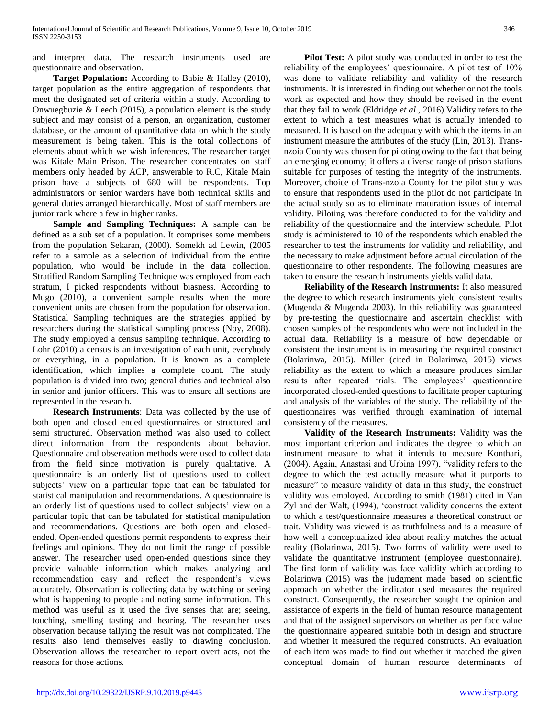and interpret data. The research instruments used are questionnaire and observation.

 **Target Population:** According to Babie & Halley (2010), target population as the entire aggregation of respondents that meet the designated set of criteria within a study. According to Onwuegbuzie  $& Leech (2015)$ , a population element is the study subject and may consist of a person, an organization, customer database, or the amount of quantitative data on which the study measurement is being taken. This is the total collections of elements about which we wish inferences. The researcher target was Kitale Main Prison. The researcher concentrates on staff members only headed by ACP, answerable to R.C, Kitale Main prison have a subjects of 680 will be respondents. Top administrators or senior warders have both technical skills and general duties arranged hierarchically. Most of staff members are junior rank where a few in higher ranks.

 **Sample and Sampling Techniques:** A sample can be defined as a sub set of a population. It comprises some members from the population Sekaran, (2000). Somekh ad Lewin, (2005 refer to a sample as a selection of individual from the entire population, who would be include in the data collection. Stratified Random Sampling Technique was employed from each stratum, I picked respondents without biasness. According to Mugo (2010), a convenient sample results when the more convenient units are chosen from the population for observation. Statistical Sampling techniques are the strategies applied by researchers during the statistical sampling process (Noy, 2008). The study employed a census sampling technique. According to Lohr (2010) a census is an investigation of each unit, everybody or everything, in a population. It is known as a complete identification, which implies a complete count. The study population is divided into two; general duties and technical also in senior and junior officers. This was to ensure all sections are represented in the research.

 **Research Instruments**: Data was collected by the use of both open and closed ended questionnaires or structured and semi structured. Observation method was also used to collect direct information from the respondents about behavior. Questionnaire and observation methods were used to collect data from the field since motivation is purely qualitative. A questionnaire is an orderly list of questions used to collect subjects' view on a particular topic that can be tabulated for statistical manipulation and recommendations. A questionnaire is an orderly list of questions used to collect subjects' view on a particular topic that can be tabulated for statistical manipulation and recommendations. Questions are both open and closedended. Open-ended questions permit respondents to express their feelings and opinions. They do not limit the range of possible answer. The researcher used open-ended questions since they provide valuable information which makes analyzing and recommendation easy and reflect the respondent's views accurately. Observation is collecting data by watching or seeing what is happening to people and noting some information. This method was useful as it used the five senses that are; seeing, touching, smelling tasting and hearing. The researcher uses observation because tallying the result was not complicated. The results also lend themselves easily to drawing conclusion. Observation allows the researcher to report overt acts, not the reasons for those actions.

**Pilot Test:** A pilot study was conducted in order to test the reliability of the employees' questionnaire. A pilot test of 10% was done to validate reliability and validity of the research instruments. It is interested in finding out whether or not the tools work as expected and how they should be revised in the event that they fail to work (Eldridge *et al*., 2016).Validity refers to the extent to which a test measures what is actually intended to measured. It is based on the adequacy with which the items in an instrument measure the attributes of the study (Lin, 2013). Transnzoia County was chosen for piloting owing to the fact that being an emerging economy; it offers a diverse range of prison stations suitable for purposes of testing the integrity of the instruments. Moreover, choice of Trans-nzoia County for the pilot study was to ensure that respondents used in the pilot do not participate in the actual study so as to eliminate maturation issues of internal validity. Piloting was therefore conducted to for the validity and reliability of the questionnaire and the interview schedule. Pilot study is administered to 10 of the respondents which enabled the researcher to test the instruments for validity and reliability, and the necessary to make adjustment before actual circulation of the questionnaire to other respondents. The following measures are taken to ensure the research instruments yields valid data.

 **Reliability of the Research Instruments:** It also measured the degree to which research instruments yield consistent results (Mugenda & Mugenda 2003). In this reliability was guaranteed by pre-testing the questionnaire and ascertain checklist with chosen samples of the respondents who were not included in the actual data. Reliability is a measure of how dependable or consistent the instrument is in measuring the required construct (Bolarinwa, 2015). Miller (cited in Bolarinwa, 2015) views reliability as the extent to which a measure produces similar results after repeated trials. The employees' questionnaire incorporated closed-ended questions to facilitate proper capturing and analysis of the variables of the study. The reliability of the questionnaires was verified through examination of internal consistency of the measures.

 **Validity of the Research Instruments:** Validity was the most important criterion and indicates the degree to which an instrument measure to what it intends to measure Konthari, (2004). Again, Anastasi and Urbina 1997), "validity refers to the degree to which the test actually measure what it purports to measure" to measure validity of data in this study, the construct validity was employed. According to smith (1981) cited in Van Zyl and der Walt, (1994), 'construct validity concerns the extent to which a test/questionnaire measures a theoretical construct or trait. Validity was viewed is as truthfulness and is a measure of how well a conceptualized idea about reality matches the actual reality (Bolarinwa, 2015). Two forms of validity were used to validate the quantitative instrument (employee questionnaire). The first form of validity was face validity which according to Bolarinwa (2015) was the judgment made based on scientific approach on whether the indicator used measures the required construct. Consequently, the researcher sought the opinion and assistance of experts in the field of human resource management and that of the assigned supervisors on whether as per face value the questionnaire appeared suitable both in design and structure and whether it measured the required constructs. An evaluation of each item was made to find out whether it matched the given conceptual domain of human resource determinants of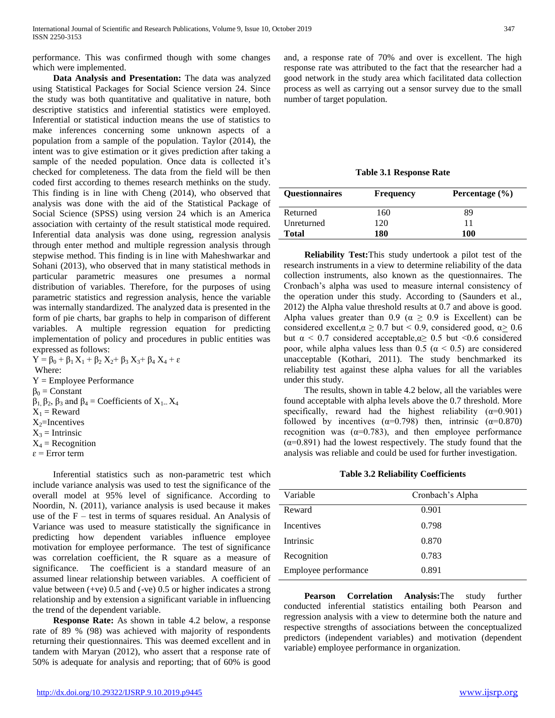performance. This was confirmed though with some changes which were implemented.

 **Data Analysis and Presentation:** The data was analyzed using Statistical Packages for Social Science version 24. Since the study was both quantitative and qualitative in nature, both descriptive statistics and inferential statistics were employed. Inferential or statistical induction means the use of statistics to make inferences concerning some unknown aspects of a population from a sample of the population. Taylor (2014), the intent was to give estimation or it gives prediction after taking a sample of the needed population. Once data is collected it's checked for completeness. The data from the field will be then coded first according to themes research methinks on the study. This finding is in line with Cheng (2014), who observed that analysis was done with the aid of the Statistical Package of Social Science (SPSS) using version 24 which is an America association with certainty of the result statistical mode required. Inferential data analysis was done using, regression analysis through enter method and multiple regression analysis through stepwise method. This finding is in line with Maheshwarkar and Sohani (2013), who observed that in many statistical methods in particular parametric measures one presumes a normal distribution of variables. Therefore, for the purposes of using parametric statistics and regression analysis, hence the variable was internally standardized. The analyzed data is presented in the form of pie charts, bar graphs to help in comparison of different variables. A multiple regression equation for predicting implementation of policy and procedures in public entities was expressed as follows:

 $Y = \beta_0 + \beta_1 X_1 + \beta_2 X_2 + \beta_3 X_3 + \beta_4 X_4 + \varepsilon$ Where: Y = Employee Performance  $\beta_0$  = Constant  $β<sub>1</sub>, β<sub>2</sub>, β<sub>3</sub>$  and  $β<sub>4</sub> = Coefficients of X<sub>1</sub>... X<sub>4</sub>$  $X_1$  = Reward  $X_2$ =Incentives  $X_3$  = Intrinsic  $X_4$  = Recognition

 $\varepsilon$  = Error term

 Inferential statistics such as non-parametric test which include variance analysis was used to test the significance of the overall model at 95% level of significance. According to Noordin, N. (2011), variance analysis is used because it makes use of the  $F$  – test in terms of squares residual. An Analysis of Variance was used to measure statistically the significance in predicting how dependent variables influence employee motivation for employee performance. The test of significance was correlation coefficient, the R square as a measure of significance. The coefficient is a standard measure of an assumed linear relationship between variables. A coefficient of value between  $(+ve)$  0.5 and  $(-ve)$  0.5 or higher indicates a strong relationship and by extension a significant variable in influencing the trend of the dependent variable.

 **Response Rate:** As shown in table 4.2 below, a response rate of 89 % (98) was achieved with majority of respondents returning their questionnaires. This was deemed excellent and in tandem with Maryan (2012), who assert that a response rate of 50% is adequate for analysis and reporting; that of 60% is good

and, a response rate of 70% and over is excellent. The high response rate was attributed to the fact that the researcher had a good network in the study area which facilitated data collection process as well as carrying out a sensor survey due to the small number of target population.

**Table 3.1 Response Rate**

| <b>Ouestionnaires</b> | <b>Frequency</b> | Percentage $(\% )$ |
|-----------------------|------------------|--------------------|
| Returned              | 160              | 89                 |
| Unreturned            | 120              | 11                 |
| <b>Total</b>          | 180              | 100                |

 **Reliability Test:**This study undertook a pilot test of the research instruments in a view to determine reliability of the data collection instruments, also known as the questionnaires. The Cronbach's alpha was used to measure internal consistency of the operation under this study. According to (Saunders et al., 2012) the Alpha value threshold results at 0.7 and above is good. Alpha values greater than 0.9 ( $\alpha \geq 0.9$  is Excellent) can be considered excellent, $\alpha \ge 0.7$  but < 0.9, considered good,  $\alpha \ge 0.6$ but α < 0.7 considered acceptable,α≥ 0.5 but <0.6 considered poor, while alpha values less than 0.5 ( $\alpha$  < 0.5) are considered unacceptable (Kothari, 2011). The study benchmarked its reliability test against these alpha values for all the variables under this study.

 The results, shown in table 4.2 below, all the variables were found acceptable with alpha levels above the 0.7 threshold. More specifically, reward had the highest reliability  $(\alpha=0.901)$ followed by incentives ( $\alpha$ =0.798) then, intrinsic ( $\alpha$ =0.870) recognition was ( $\alpha$ =0.783), and then employee performance  $(\alpha=0.891)$  had the lowest respectively. The study found that the analysis was reliable and could be used for further investigation.

#### **Table 3.2 Reliability Coefficients**

| Variable             | Cronbach's Alpha |  |
|----------------------|------------------|--|
| Reward               | 0.901            |  |
| <b>Incentives</b>    | 0.798            |  |
| Intrinsic            | 0.870            |  |
| Recognition          | 0.783            |  |
| Employee performance | 0.891            |  |
|                      |                  |  |

 **Pearson Correlation Analysis:**The study further conducted inferential statistics entailing both Pearson and regression analysis with a view to determine both the nature and respective strengths of associations between the conceptualized predictors (independent variables) and motivation (dependent variable) employee performance in organization.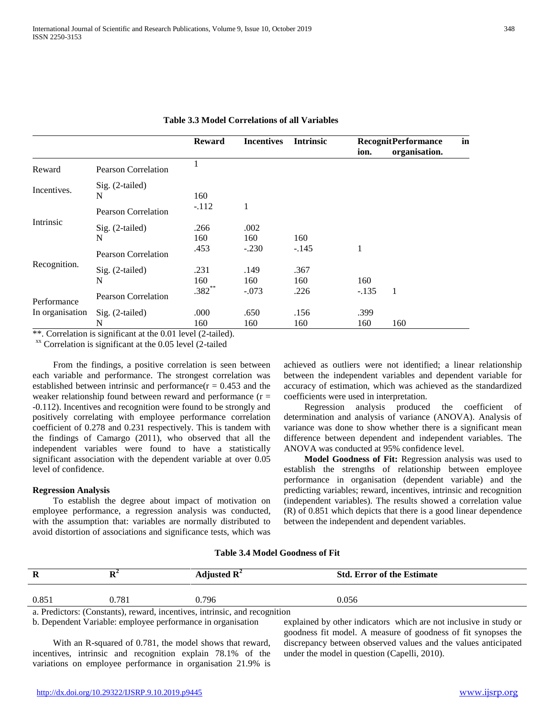|                 |                            | <b>Incentives</b><br><b>Intrinsic</b><br><b>Reward</b> |         | <b>RecognitPerformance</b> |         | in            |  |
|-----------------|----------------------------|--------------------------------------------------------|---------|----------------------------|---------|---------------|--|
|                 |                            |                                                        |         |                            | ion.    | organisation. |  |
| Reward          | Pearson Correlation        |                                                        |         |                            |         |               |  |
| Incentives.     | $Sig. (2-tailed)$          |                                                        |         |                            |         |               |  |
|                 | N                          | 160                                                    |         |                            |         |               |  |
|                 | <b>Pearson Correlation</b> | $-.112$                                                | 1       |                            |         |               |  |
| Intrinsic       | Sig. (2-tailed)            | .266                                                   | .002    |                            |         |               |  |
|                 | N                          | 160                                                    | 160     | 160                        |         |               |  |
|                 | <b>Pearson Correlation</b> | .453                                                   | $-.230$ | $-.145$                    | 1       |               |  |
| Recognition.    | Sig. (2-tailed)            | .231                                                   | .149    | .367                       |         |               |  |
|                 | N                          | 160                                                    | 160     | 160                        | 160     |               |  |
| Performance     | <b>Pearson Correlation</b> | $.382**$                                               | $-.073$ | .226                       | $-.135$ | 1             |  |
| In organisation | $Sig. (2-tailed)$          | .000                                                   | .650    | .156                       | .399    |               |  |
|                 | N                          | 160                                                    | 160     | 160                        | 160     | 160           |  |

**Table 3.3 Model Correlations of all Variables**

\*\*. Correlation is significant at the 0.01 level (2-tailed).

xx Correlation is significant at the 0.05 level (2-tailed

 From the findings, a positive correlation is seen between each variable and performance. The strongest correlation was established between intrinsic and performance( $r = 0.453$  and the weaker relationship found between reward and performance  $(r =$ -0.112). Incentives and recognition were found to be strongly and positively correlating with employee performance correlation coefficient of 0.278 and 0.231 respectively. This is tandem with the findings of Camargo (2011), who observed that all the independent variables were found to have a statistically significant association with the dependent variable at over 0.05 level of confidence.

#### **Regression Analysis**

 To establish the degree about impact of motivation on employee performance, a regression analysis was conducted, with the assumption that: variables are normally distributed to avoid distortion of associations and significance tests, which was achieved as outliers were not identified; a linear relationship between the independent variables and dependent variable for accuracy of estimation, which was achieved as the standardized coefficients were used in interpretation.

 Regression analysis produced the coefficient of determination and analysis of variance (ANOVA). Analysis of variance was done to show whether there is a significant mean difference between dependent and independent variables. The ANOVA was conducted at 95% confidence level.

 **Model Goodness of Fit:** Regression analysis was used to establish the strengths of relationship between employee performance in organisation (dependent variable) and the predicting variables; reward, incentives, intrinsic and recognition (independent variables). The results showed a correlation value (R) of 0.851 which depicts that there is a good linear dependence between the independent and dependent variables.

## **Table 3.4 Model Goodness of Fit**

| R     | D<br>л | Adjusted $\mathbb{R}^2$ | <b>Std. Error of the Estimate</b> |  |
|-------|--------|-------------------------|-----------------------------------|--|
| 0.851 | 0.781  | 0.796                   | 0.056                             |  |

a. Predictors: (Constants), reward, incentives, intrinsic, and recognition

b. Dependent Variable: employee performance in organisation

 With an R-squared of 0.781, the model shows that reward, incentives, intrinsic and recognition explain 78.1% of the variations on employee performance in organisation 21.9% is explained by other indicators which are not inclusive in study or goodness fit model. A measure of goodness of fit synopses the discrepancy between observed values and the values anticipated under the model in question (Capelli, 2010).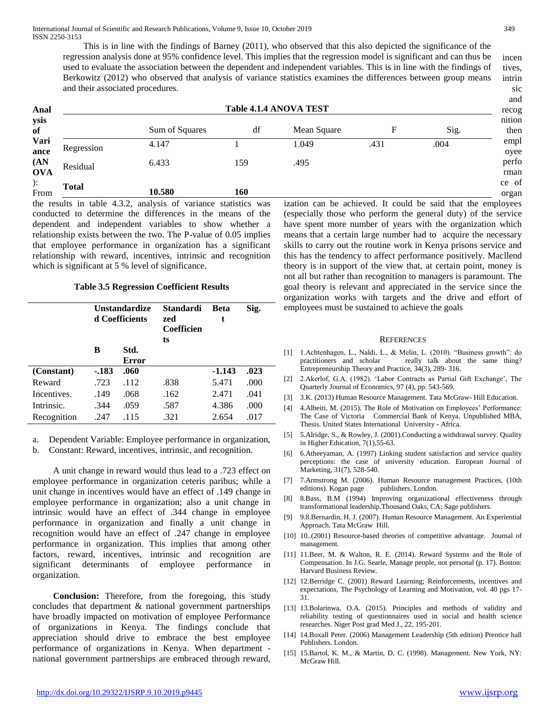incen tives, intrin This is in line with the findings of Barney (2011), who observed that this also depicted the significance of the regression analysis done at 95% confidence level. This implies that the regression model is significant and can thus be used to evaluate the association between the dependent and independent variables. This is in line with the findings of Berkowitz (2012) who observed that analysis of variance statistics examines the differences between group means and their associated procedures.

| Anal               | <b>Table 4.1.4 ANOVA TEST</b> |                                                                        |     |                                                              |      |      | $\cdots$<br>recog |
|--------------------|-------------------------------|------------------------------------------------------------------------|-----|--------------------------------------------------------------|------|------|-------------------|
| ysis<br>of         |                               | Sum of Squares                                                         | df  | Mean Square                                                  | F    | Sig. | nition<br>then    |
| Vari<br>ance       | Regression                    | 4.147                                                                  |     | 1.049                                                        | .431 | .004 | empl<br>oyee      |
| (AN)<br><b>OVA</b> | Residual                      | 6.433                                                                  | 159 | .495                                                         |      |      | perfo<br>rman     |
| ):<br>From         | <b>Total</b>                  | 10.580                                                                 | 160 |                                                              |      |      | ce of<br>organ    |
|                    |                               | the results in table $\Lambda$ 3.2 analysis of variance statistics was |     | ization can be achieved. It could be said that the employees |      |      |                   |

the results in table 4.3.2, analysis of variance statistics was conducted to determine the differences in the means of the dependent and independent variables to show whether a relationship exists between the two. The P-value of 0.05 implies that employee performance in organization has a significant relationship with reward, incentives, intrinsic and recognition which is significant at 5 % level of significance.

#### **Table 3.5 Regression Coefficient Results**

|             | <b>Unstandardize</b><br>d Coefficients |                      | Standardi<br>zed<br>Coefficien<br>ts | <b>Beta</b><br>t | Sig. |
|-------------|----------------------------------------|----------------------|--------------------------------------|------------------|------|
|             | B                                      | Std.<br><b>Error</b> |                                      |                  |      |
| (Constant)  | -.183                                  | .060                 |                                      | $-1.143$         | .023 |
| Reward      | .723                                   | .112                 | .838                                 | 5.471            | .000 |
| Incentives. | .149                                   | .068                 | .162                                 | 2.471            | .041 |
| Intrinsic.  | .344                                   | .059                 | .587                                 | 4.386            | .000 |
| Recognition | .247                                   | .115                 | .321                                 | 2.654            | .017 |

a. Dependent Variable: Employee performance in organization,

b. Constant: Reward, incentives, intrinsic, and recognition.

 A unit change in reward would thus lead to a .723 effect on employee performance in organization ceteris paribus; while a unit change in incentives would have an effect of .149 change in employee performance in organization; also a unit change in intrinsic would have an effect of .344 change in employee performance in organization and finally a unit change in recognition would have an effect of .247 change in employee performance in organization. This implies that among other factors, reward, incentives, intrinsic and recognition are significant determinants of employee performance in organization.

 **Conclusion:** Therefore, from the foregoing, this study concludes that department & national government partnerships have broadly impacted on motivation of employee Performance of organizations in Kenya. The findings conclude that appreciation should drive to embrace the best employee performance of organizations in Kenya. When department national government partnerships are embraced through reward,

ization can be achieved. It could be said that the employees (especially those who perform the general duty) of the service have spent more number of years with the organization which means that a certain large number had to acquire the necessary skills to carry out the routine work in Kenya prisons service and this has the tendency to affect performance positively. Macllend theory is in support of the view that, at certain point, money is not all but rather than recognition to managers is paramount. The goal theory is relevant and appreciated in the service since the organization works with targets and the drive and effort of employees must be sustained to achieve the goals

#### **REFERENCES**

- [1] 1.Achtenhagen, L., Naldi, L., & Melin, L. (2010). "Business growth": do practitioners and scholar really talk about the same thing? Entrepreneurship Theory and Practice, 34(3), 289- 316.
- [2] 2.Akerlof, G.A. (1982). 'Labor Contracts as Partial Gift Exchange', The Quarterly Journal of Economics, 97 (4), pp. 543-569.
- [3] 3.K. (2013) Human Resource Management. Tata McGraw- Hill Education.
- [4] 4.Albeiti, M. (2015). The Role of Motivation on Employees' Performance: The Case of Victoria Commercial Bank of Kenya. Unpublished MBA, Thesis. United States International University - Africa.
- [5] 5.Alridge, S., & Rowley, J. (2001).Conducting a withdrawal survey. Quality in Higher Education, 7(1),55-63.
- [6] 6.Atheeyaman, A. (1997) Linking student satisfaction and service quality perceptions: the case of university education. European Journal of Marketing, 31(7), 528-540.
- [7] 7.Armstrong M. (2006). Human Resource management Practices, (10th editions). Kogan page
- [8] 8.Bass, B.M (1994) Improving organizational effectiveness through transformational leadership.Thousand Oaks, CA; Sage publishers.
- [9] 9.8.Bernardin, H. J. (2007). Human Resource Management. An Experiential Approach. Tata McGraw Hill.
- [10] 10..(2001) Resource-based theories of competitive advantage. Journal of management.
- [11] 11.Beer, M. & Walton, R. E. (2014). Reward Systems and the Role of Compensation. In J.G. Searle, Manage people, not personal (p. 17). Boston: Harvard Business Review.
- [12] 12.Berridge C. (2001) Reward Learning; Reinforcements, incentives and expectations, The Psychology of Learning and Motivation, vol. 40 pgs 17- 31.
- [13] 13.Bolarinwa, O.A. (2015). Principles and methods of validity and reliability testing of questionnaires used in social and health science researches. Niger Post grad Med J., 22, 195-201.
- [14] 14.Boxall Peter. (2006) Management Leadership (5th edition) Prentice hall Publishers. London.
- [15] 15.Bartol, K. M., & Martin, D. C. (1998). Management. New York, NY: McGraw Hill.

sic and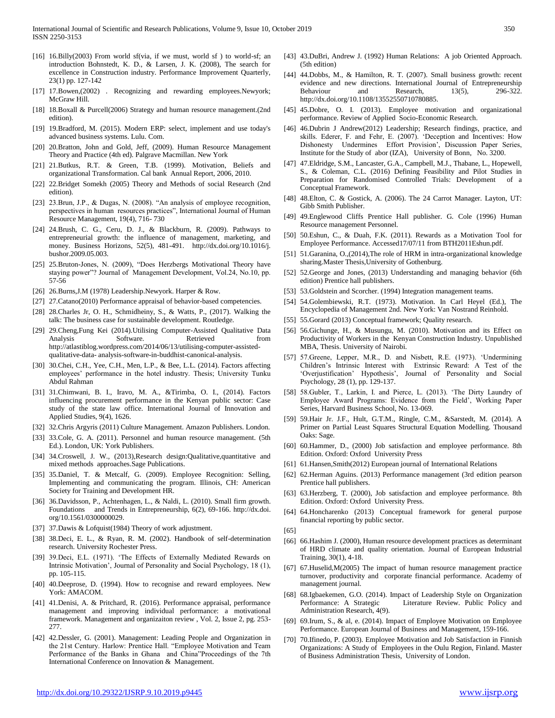- [16] 16.Billy(2003) From world sf(via, if we must, world sf) to world-sf; an introduction Bohnstedt, K. D., & Larsen, J. K. (2008), The search for excellence in Construction industry. Performance Improvement Quarterly, 23(1) pp. 127-142
- [17] 17.Bowen,(2002) . Recognizing and rewarding employees.Newyork; McGraw Hill.
- [18] 18.Boxall & Purcell(2006) Strategy and human resource management.(2nd edition).
- [19] 19.Bradford, M. (2015). Modern ERP: select, implement and use today's advanced business systems. Lulu. Com.
- [20] 20.Bratton, John and Gold, Jeff, (2009). Human Resource Management Theory and Practice (4th ed). Palgrave Macmillan. New York
- [21] 21.Butkus, R.T. & Green, T.B. (1999). Motivation, Beliefs and organizational Transformation. Cal bank Annual Report, 2006, 2010.
- [22] 22.Bridget Somekh (2005) Theory and Methods of social Research (2nd edition).
- [23] 23.Brun, J.P., & Dugas, N. (2008). "An analysis of employee recognition, perspectives in human resources practices", International Journal of Human Resource Management, 19(4), 716- 730
- [24] 24.Brush, C. G., Ceru, D. J., & Blackburn, R. (2009). Pathways to entrepreneurial growth: the influence of management, marketing, and money. Business Horizons, 52(5), 481-491. http://dx.doi.org/10.1016/j. bushor.2009.05.003.
- [25] 25.Bruton-Jones, N. (2009), "Does Herzbergs Motivational Theory have staying power"? Journal of Management Development, Vol.24, No.10, pp. 57-56
- [26] 26.Burns,J.M (1978) Leadership.Newyork. Harper & Row.
- [27] 27.Catano(2010) Performance appraisal of behavior-based competencies.
- [28] 28.Charles Jr, O. H., Schmidheiny, S., & Watts, P., (2017). Walking the talk: The business case for sustainable development. Routledge.
- [29] 29.Cheng,Fung Kei (2014).Utilising Computer-Assisted Qualitative Data Analysis Software. Retrieved from http://atlastiblog.wordpress.com/2014/06/13/utilising-computer-assistedqualitative-data- analysis-software-in-buddhist-canonical-analysis.
- [30] 30.Chei, C.H., Yee, C.H., Men, L.P., & Bee, L.L. (2014). Factors affecting employees' performance in the hotel industry. Thesis; University Tunku Abdul Rahman
- [31] 31.Chimwani, B. I., Iravo, M. A., &Tirimba, O. I., (2014). Factors influencing procurement performance in the Kenyan public sector: Case study of the state law office. International Journal of Innovation and Applied Studies, 9(4), 1626.
- [32] 32.Chris Argyris (2011) Culture Management. Amazon Publishers. London.
- [33] 33.Cole, G. A. (2011). Personnel and human resource management. (5th Ed.). London, UK: York Publishers.
- [34] 34.Croswell, J. W., (2013),Research design:Qualitative,quantitative and mixed methods approaches.Sage Publications.
- [35] 35.Daniel, T. & Metcalf, G. (2009). Employee Recognition: Selling, Implementing and communicating the program. Illinois, CH: American Society for Training and Development HR.
- [36] 36.Davidsson, P., Achtenhagen, L., & Naldi, L. (2010). Small firm growth. Foundations and Trends in Entrepreneurship, 6(2), 69-166. http://dx.doi. org/10.1561/0300000029.
- [37] 37.Dawis & Lofquist(1984) Theory of work adjustment.
- [38] 38.Deci, E. L., & Ryan, R. M. (2002). Handbook of self-determination research. University Rochester Press.
- [39] 39.Deci, E.L. (1971). 'The Effects of Externally Mediated Rewards on Intrinsic Motivation', Journal of Personality and Social Psychology, 18 (1), pp. 105-115.
- [40] 40.Deeprose, D. (1994). How to recognise and reward employees. New York: AMACOM.
- [41] 41.Denisi, A. & Pritchard, R. (2016). Performance appraisal, performance management and improving individual performance: a motivational framework. Management and organizaiton review , Vol. 2, Issue 2, pg. 253- 277.
- [42] 42.Dessler, G. (2001). Management: Leading People and Organization in the 21st Century. Harlow: Prentice Hall. "Employee Motivation and Team Performance of the Banks in Ghana and China"Proceedings of the 7th International Conference on Innovation & Management.
- [43] 43.DuBri, Andrew J. (1992) Human Relations: A job Oriented Approach. (5th edition)
- [44] 44.Dobbs, M., & Hamilton, R. T. (2007). Small business growth: recent evidence and new directions. International Journal of Entrepreneurship Behaviour and Research,  $13(5)$ , 296-322. http://dx.doi.org/10.1108/13552550710780885.
- [45] 45.Dobre, O. I. (2013). Employee motivation and organizational performance. Review of Applied Socio-Economic Research.
- [46] 46.Dubrin J Andrew(2012) Leadership; Research findings, practice, and skills. Ederer, F. and Fehr, E. (2007). 'Deception and Incentives: How Dishonesty Undermines Effort Provision', Discussion Paper Series, Institute for the Study of abor (IZA), University of Bonn, No. 3200.
- [47] 47.Eldridge, S.M., Lancaster, G.A., Campbell, M.J., Thabane, L., Hopewell, S., & Coleman, C.L. (2016) Defining Feasibility and Pilot Studies in Preparation for Randomised Controlled Trials: Development of a Conceptual Framework.
- [48] 48.Elton, C. & Gostick, A. (2006). The 24 Carrot Manager. Layton, UT: Gibb Smith Publisher.
- [49] 49.Englewood Cliffs Prentice Hall publisher. G. Cole (1996) Human Resource management Personnel.
- [50] 50.Eshun, C., & Duah, F.K. (2011). Rewards as a Motivation Tool for Employee Performance. Accessed17/07/11 from BTH2011Eshun.pdf.
- [51] 51.Garanina, O.,(2014),The role of HRM in intra-organizational knowledge sharing.Master Thesis,University of Gothenburg.
- [52] 52.George and Jones, (2013) Understanding and managing behavior (6th edition) Prentice hall publishers.
- [53] 53. Goldstein and Scorcher. (1994) Integration management teams.
- [54] 54.Golembiewski, R.T. (1973). Motivation. In Carl Heyel (Ed.), The Encyclopedia of Management 2nd. New York: Van Nostrand Reinhold.
- [55] 55.Gorard (2013) Conceptual framework; Quality research.
- [56] 56.Gichunge, H., & Musungu, M. (2010). Motivation and its Effect on Productivity of Workers in the Kenyan Construction Industry. Unpublished MBA, Thesis. University of Nairobi.
- [57] 57.Greene, Lepper, M.R., D. and Nisbett, R.E. (1973). 'Undermining Children's Intrinsic Interest with Extrinsic Reward: A Test of the 'Overjustification' Hypothesis', Journal of Personality and Social Psychology, 28 (1), pp. 129-137.
- [58] 58.Gubler, T., Larkin, I. and Pierce, L. (2013). 'The Dirty Laundry of Employee Award Programs: Evidence from the Field', Working Paper Series, Harvard Business School, No. 13-069.
- [59] 59.Hair Jr. J.F., Hult, G.T.M., Ringle, C.M., &Sarstedt, M. (2014). A Primer on Partial Least Squares Structural Equation Modelling. Thousand Oaks: Sage.
- [60] 60.Hammer, D., (2000) Job satisfaction and employee performance. 8th Edition. Oxford: Oxford University Press
- [61] 61.Hansen,Smith(2012) European journal of International Relations
- [62] 62.Herman Aguins. (2013) Performance management (3rd edition pearson Prentice hall publishers.
- [63] 63.Herzberg, T. (2000), Job satisfaction and employee performance. 8th Edition. Oxford: Oxford University Press.
- [64] 64.Honcharenko (2013) Conceptual framework for general purpose financial reporting by public sector.

- [66] 66. Hashim J. (2000), Human resource development practices as determinant of HRD climate and quality orientation. Journal of European Industrial Training, 30(1), 4-18.
- [67] 67.Huselid,M(2005) The impact of human resource management practice turnover, productivity and corporate financial performance. Academy of management journal.
- [68] 68.Igbaekemen, G.O. (2014). Impact of Leadership Style on Organization Performance: A Strategic Literature Review. Public Policy and Administration Research, 4(9).
- [69] 69.Irum, S., & al, e. (2014). Impact of Employee Motivation on Employee Performance. European Journal of Business and Management, 159-166.
- [70] 70.Ifinedo, P. (2003). Employee Motivation and Job Satisfaction in Finnish Organizations: A Study of Employees in the Oulu Region, Finland. Master of Business Administration Thesis, University of London.

<sup>[65]</sup>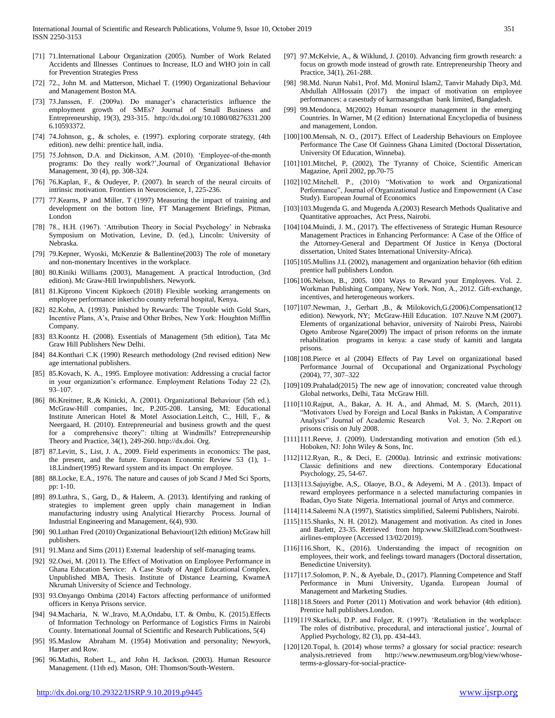- [71] 71.International Labour Organization (2005). Number of Work Related Accidents and Illnesses Continues to Increase, ILO and WHO join in call for Prevention Strategies Press
- [72] 72., John M. and Matterson, Michael T. (1990) Organizational Behaviour and Management Boston MA.
- [73] 73.Janssen, F. (2009a). Do manager's characteristics influence the employment growth of SMEs? Journal of Small Business and Entrepreneurship, 19(3), 293-315. http://dx.doi.org/10.1080/08276331.200 6.10593372.
- [74] 74.Johnson, g., & scholes, e. (1997). exploring corporate strategy, (4th edition). new delhi: prentice hall, india.
- [75] 75.Johnson, D.A. and Dickinson, A.M. (2010). 'Employee-of-the-month programs: Do they really work?',Journal of Organizational Behavior Management, 30 (4), pp. 308-324.
- [76] 76. Kaplan, F., & Oudeyer, P. (2007). In search of the neural circuits of intrinsic motivation. Frontiers in Neuroscience, 1, 225-236.
- [77] 77.Kearns, P and Miller, T (1997) Measuring the impact of training and development on the bottom line, FT Management Briefings, Pitman, London
- [78] 78., H.H. (1967). 'Attribution Theory in Social Psychology' in Nebraska Symposium on Motivation, Levine, D. (ed.), Lincoln: University of Nebraska.
- [79] 79.Kepner, Wyoski, McKenzie & Ballentine(2003) The role of monetary and non-monentary Incentives in the workplace.
- [80] 80.Kiniki Williams (2003), Management. A practical Introduction, (3rd edition). Mc Graw-Hill Irwinpublishers. Newyork.
- [81] 81.Kiprono Vincent Kipkoech (2018) Flexible working arrangements on employee performance inkericho county referral hospital, Kenya.
- [82] 82.Kohn, A. (1993). Punished by Rewards: The Trouble with Gold Stars, Incentive Plans, A's, Praise and Other Bribes, New York: Houghton Mifflin Company.
- [83] 83.Koontz H. (2008). Essentials of Management (5th edition), Tata Mc Graw Hill Publishers New Delhi.
- [84] 84.Konthari C.K (1990) Research methodology (2nd revised edition) New age international publishers.
- [85] 85.Kovach, K. A., 1995. Employee motivation: Addressing a crucial factor in your organization's erformance. Employment Relations Today 22 (2), 93–107.
- [86] 86.Kreitner, R.,& Kinicki, A. (2001). Organizational Behaviour (5th ed.). McGraw-Hill companies, Inc, P.205-208. Lansing, MI: Educational Institute American Hotel & Motel Association.Leitch, C., Hill, F., & Neergaard, H. (2010). Entrepreneurial and business growth and the quest for a comprehensive theory": tilting at Windmills? Entrepreneurship Theory and Practice, 34(1), 249-260. http://dx.doi. Org.
- [87] 87.Levitt, S., List, J. A., 2009. Field experiments in economics: The past, the present, and the future. European Economic Review 53 (1), 1– 18.Lindner(1995) Reward system and its impact On employee.
- [88] 88.Locke, E.A., 1976. The nature and causes of job Scand J Med Sci Sports, pp: 1-10.
- [89] 89.Luthra, S., Garg, D., & Haleem, A. (2013). Identifying and ranking of strategies to implement green upply chain management in Indian manufacturing industry using Analytical Hierarchy Process. Journal of Industrial Engineering and Management, 6(4), 930.
- [90] 90.Luthan Fred (2010) Organizational Behaviour(12th edition) McGraw hill publishers.
- [91] 91.Manz and Sims (2011) External leadership of self-managing teams.
- [92] 92.Osei, M. (2011). The Effect of Motivation on Employee Performance in Ghana Education Service: A Case Study of Angel Educational Complex. Unpublished MBA, Thesis. Institute of Distance Learning, KwameA Nkrumah University of Science and Technology.
- [93] 93.Onyango Ombima (2014) Factors affecting performance of uniformed officers in Kenya Prisons service.
- [94] 94.Macharia, N. W.,Iravo, M.A,Ondabu, I.T. & Ombu, K. (2015).Effects of Information Technology on Performance of Logistics Firms in Nairobi County. International Journal of Scientific and Research Publications, 5(4)
- [95] 95.Maslow Abraham M. (1954) Motivation and personality; Newyork, Harper and Row.
- [96] 96.Mathis, Robert L., and John H. Jackson. (2003). Human Resource Management. (11th ed). Mason, OH: Thomson/South-Western.
- [97] 97.McKelvie, A., & Wiklund, J. (2010). Advancing firm growth research: a focus on growth mode instead of growth rate. Entrepreneurship Theory and Practice, 34(1), 261-288.
- [98] 98.Md. Nurun Nabi1, Prof. Md. Monirul Islam2, Tanvir Mahady Dip3, Md. Abdullah AlHossain (2017) the impact of motivation on employee performances: a casestudy of karmasangsthan bank limited, Bangladesh.
- [99] 99.Mendonca, M(2002) Human resource management in the emerging Countries. In Warner, M (2 edition) International Encyclopedia of business and management, London.
- [100]100.Mensah, N. O., (2017). Effect of Leadership Behaviours on Employee Performance The Case Of Guinness Ghana Limited (Doctoral Dissertation, University Of Education, Winneba).
- [101]101.Mitchel, P, (2002), The Tyranny of Choice, Scientific American Magazine, April 2002, pp.70-75
- [102]102. Mitchell. P., (2010) "Motivation to work and Organizational Performance", Journal of Organizational Justice and Empowerment (A Case Study). European Journal of Economics
- [103]103.Mugenda G. and Mugenda A.(2003) Research Methods Qualitative and Quantitative approaches, Act Press, Nairobi.
- [104]104.Muindi, J. M., (2017). The effectiveness of Strategic Human Resource Management Practices in Enhancing Performance: A Case of the Office of the Attorney-General and Department Of Justice in Kenya (Doctoral dissertation, United States International University-Africa).
- [105]105.Mullins J.L (2002), management and organization behavior (6th edition prentice hall publishers London.
- [106]106.Nelson, B., 2005. 1001 Ways to Reward your Employees. Vol. 2. Workman Publishing Company, New York. Non, A., 2012. Gift-exchange, incentives, and heterogeneous workers.
- [107]107.Newman, J., Gerhart ,B., & Milokovich,G.(2006).Compensation(12 edition). Newyork, NY; McGraw-Hill Education. 107.Nzuve N.M (2007). Elements of organizational behavior, university of Nairobi Press, Nairobi Ogeto Ambrose Ngare(2009) The impact of prison reforms on the inmate rehabilitation programs in kenya: a case study of kamiti and langata prisons.
- [108]108.Pierce et al (2004) Effects of Pay Level on organizational based Performance Journal of Occupational and Organizational Psychology (2004), 77, 307–322
- [109]109.Prahalad(2015) The new age of innovation; concreated value through Global networks, Delhi, Tata McGraw Hill.
- [110]110.Rajput, A., Bakar, A. H. A., and Ahmad, M. S. (March, 2011). "Motivators Used by Foreign and Local Banks in Pakistan, A Comparative Analysis" Journal of Academic Research Vol. 3, No. 2. Report on prisons crisis on July 2008.
- [111]111.Reeve, J. (2009). Understanding motivation and emotion (5th ed.). Hoboken, NJ: John Wiley & Sons, Inc.
- [112]112.Ryan, R., & Deci, E. (2000a). Intrinsic and extrinsic motivations: Classic definitions and new directions. Contemporary Educational Psychology, 25, 54-67.
- [113]113.Sajuyigbe, A,S,. Olaoye, B.O., & Adeyemi, M A . (2013). Impact of reward employees performance n a selected manufacturing companies in Ibadan, Oyo State Nigeria. International journal of Artys and commerce.
- [114]114.Saleemi N.A (1997), Statistics simplified, Saleemi Publishers, Nairobi.
- [115]115.Shanks, N. H. (2012). Management and motivation. As cited in Jones and Barlett, 23-35. Retrieved from http:www.Skill2lead.com/Southwestairlines-employee (Accessed 13/02/2019).
- [116]116.Short, K., (2016). Understanding the impact of recognition on employees, their work, and feelings toward managers (Doctoral dissertation, Benedictine University).
- [117]117.Solomon, P. N., & Ayebale, D., (2017). Planning Competence and Staff Performance in Muni University, Uganda. European Journal of Management and Marketing Studies.
- [118]118.Steers and Porter (2011) Motivation and work behavior (4th edition). Prentice hall publishers.London.
- [119]119.Skarlicki, D.P. and Folger, R. (1997). 'Retaliation in the workplace: The roles of distributive, procedural, and interactional justice', Journal of Applied Psychology, 82 (3), pp. 434-443.
- [120]120.Topal, h. (2014) whose terms? a glossary for social practice: research analysis.retrieved from http://www.newmuseum.org/blog/view/whoseterms-a-glossary-for-social-practice-